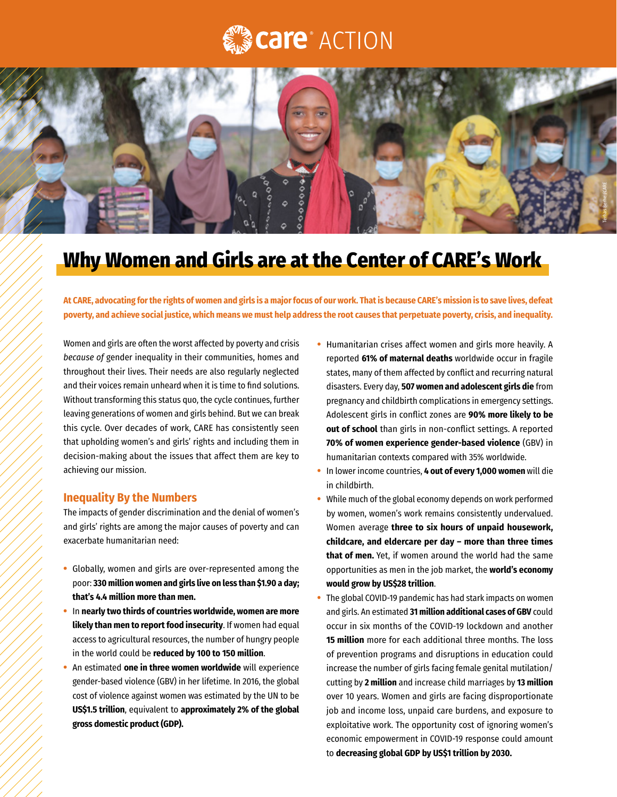## **Care**<sup>®</sup> ACTION



## **Why Women and Girls are at the Center of CARE's Work**

**At CARE, advocating for the rights of women and girls is a major focus of our work. That is because CARE's mission is to save lives, defeat poverty, and achieve social justice, which means we must help address the root causes that perpetuate poverty, crisis, and inequality.**

Women and girls are often the worst affected by poverty and crisis *because of* gender inequality in their communities, homes and throughout their lives. Their needs are also regularly neglected and their voices remain unheard when it is time to find solutions. Without transforming this status quo, the cycle continues, further leaving generations of women and girls behind. But we can break this cycle. Over decades of work, CARE has consistently seen that upholding women's and girls' rights and including them in decision-making about the issues that affect them are key to achieving our mission.

## **Inequality By the Numbers**

The impacts of gender discrimination and the denial of women's and girls' rights are among the major causes of poverty and can exacerbate humanitarian need:

- Globally, women and girls are over-represented among the poor: **330 million women and girls live on less than \$1.90 a day; that's 4.4 million more than men.**
- In **nearly two thirds of countries worldwide, women are more likely than men to report food insecurity**. If women had equal access to agricultural resources, the number of hungry people in the world could be **reduced by 100 to 150 million**.
- An estimated **one in three women worldwide** will experience gender-based violence (GBV) in her lifetime. In 2016, the global cost of violence against women was estimated by the UN to be **US\$1.5 trillion**, equivalent to **approximately 2% of the global gross domestic product (GDP).**
- Humanitarian crises affect women and girls more heavily. A reported **61% of maternal deaths** worldwide occur in fragile states, many of them affected by conflict and recurring natural disasters. Every day, **507 women and adolescent girls die** from pregnancy and childbirth complications in emergency settings. Adolescent girls in conflict zones are **90% more likely to be out of school** than girls in non-conflict settings. A reported **70% of women experience gender-based violence** (GBV) in humanitarian contexts compared with 35% worldwide.
- In lower income countries, **4 out of every 1,000 women** will die in childbirth.
- While much of the global economy depends on work performed by women, women's work remains consistently undervalued. Women average **three to six hours of unpaid housework, childcare, and eldercare per day – more than three times that of men.** Yet, if women around the world had the same opportunities as men in the job market, the **world's economy would grow by US\$28 trillion**.
- The global COVID-19 pandemic has had stark impacts on women and girls. An estimated **31 million additional cases of GBV** could occur in six months of the COVID-19 lockdown and another **15 million** more for each additional three months. The loss of prevention programs and disruptions in education could increase the number of girls facing female genital mutilation/ cutting by **2 million** and increase child marriages by **13 million** over 10 years. Women and girls are facing disproportionate job and income loss, unpaid care burdens, and exposure to exploitative work. The opportunity cost of ignoring women's economic empowerment in COVID-19 response could amount to **decreasing global GDP by US\$1 trillion by 2030.**